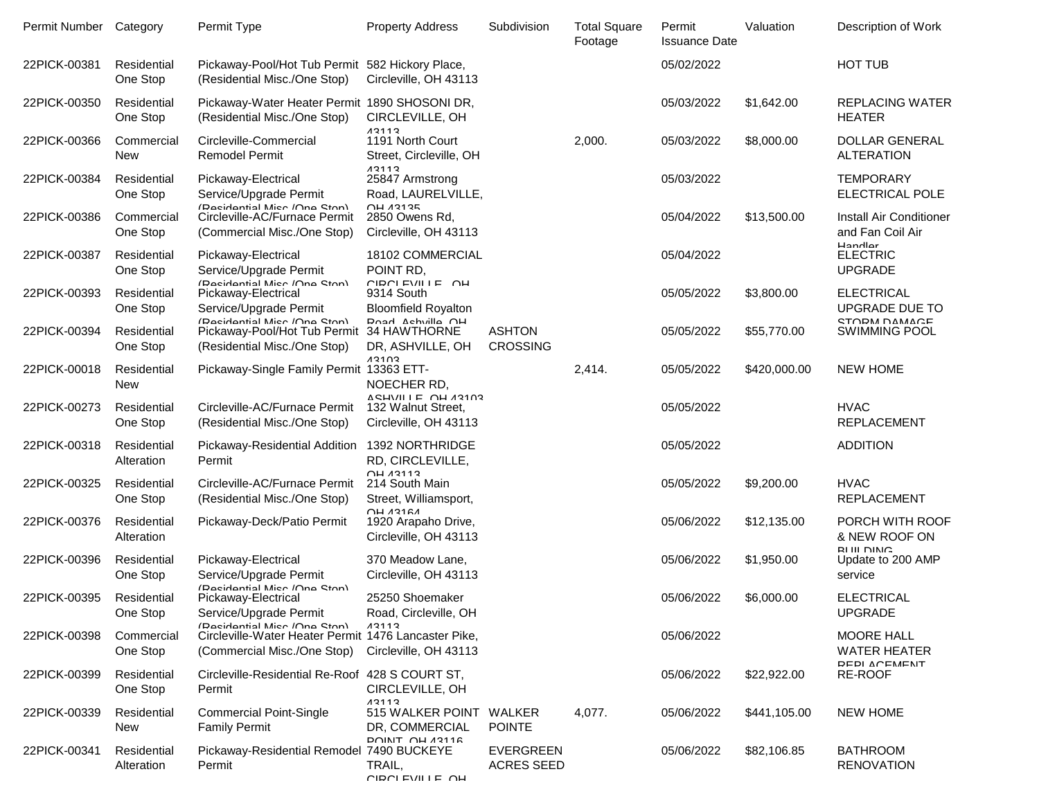| Permit Number Category |                           | Permit Type                                                                         | <b>Property Address</b>                                                | Subdivision                           | <b>Total Square</b><br>Footage | Permit<br><b>Issuance Date</b> | Valuation    | Description of Work                                               |
|------------------------|---------------------------|-------------------------------------------------------------------------------------|------------------------------------------------------------------------|---------------------------------------|--------------------------------|--------------------------------|--------------|-------------------------------------------------------------------|
| 22PICK-00381           | Residential<br>One Stop   | Pickaway-Pool/Hot Tub Permit 582 Hickory Place,<br>(Residential Misc./One Stop)     | Circleville, OH 43113                                                  |                                       |                                | 05/02/2022                     |              | <b>HOT TUB</b>                                                    |
| 22PICK-00350           | Residential<br>One Stop   | Pickaway-Water Heater Permit 1890 SHOSONI DR,<br>(Residential Misc./One Stop)       | CIRCLEVILLE, OH<br>13113                                               |                                       |                                | 05/03/2022                     | \$1,642.00   | <b>REPLACING WATER</b><br><b>HEATER</b>                           |
| 22PICK-00366           | Commercial<br><b>New</b>  | Circleville-Commercial<br><b>Remodel Permit</b>                                     | 1191 North Court<br>Street, Circleville, OH<br>13113                   |                                       | 2,000.                         | 05/03/2022                     | \$8,000.00   | <b>DOLLAR GENERAL</b><br><b>ALTERATION</b>                        |
| 22PICK-00384           | Residential<br>One Stop   | Pickaway-Electrical<br>Service/Upgrade Permit<br>(Racidantial Micr /Ona Ston)       | 25847 Armstrong<br>Road, LAURELVILLE,<br><b>OH 13135</b>               |                                       |                                | 05/03/2022                     |              | <b>TEMPORARY</b><br><b>ELECTRICAL POLE</b>                        |
| 22PICK-00386           | Commercial<br>One Stop    | Circleville-AC/Furnace Permit<br>(Commercial Misc./One Stop)                        | 2850 Owens Rd,<br>Circleville, OH 43113                                |                                       |                                | 05/04/2022                     | \$13,500.00  | Install Air Conditioner<br>and Fan Coil Air<br>Handlar            |
| 22PICK-00387           | Residential<br>One Stop   | Pickaway-Electrical<br>Service/Upgrade Permit<br>(Racidantial Micr /Ona Ston)       | 18102 COMMERCIAL<br>POINT RD,<br>CIRCLEVILLE OH                        |                                       |                                | 05/04/2022                     |              | <b>ELECTRIC</b><br><b>UPGRADE</b>                                 |
| 22PICK-00393           | Residential<br>One Stop   | Pickaway-Electrical<br>Service/Upgrade Permit<br>(Racidantial Micr /Ona Ston)       | 9314 South<br><b>Bloomfield Royalton</b><br>Road Achvilla OH           |                                       |                                | 05/05/2022                     | \$3,800.00   | <b>ELECTRICAL</b><br><b>UPGRADE DUE TO</b><br><b>STORM DAMAGE</b> |
| 22PICK-00394           | Residential<br>One Stop   | Pickaway-Pool/Hot Tub Permit<br>(Residential Misc./One Stop)                        | 34 HAWTHORNE<br>DR, ASHVILLE, OH<br>13103                              | <b>ASHTON</b><br><b>CROSSING</b>      |                                | 05/05/2022                     | \$55,770.00  | <b>SWIMMING POOL</b>                                              |
| 22PICK-00018           | Residential<br><b>New</b> | Pickaway-Single Family Permit 13363 ETT-                                            | NOECHER RD,<br>VGHIVILLE UH V34U3                                      |                                       | 2,414.                         | 05/05/2022                     | \$420,000.00 | <b>NEW HOME</b>                                                   |
| 22PICK-00273           | Residential<br>One Stop   | Circleville-AC/Furnace Permit<br>(Residential Misc./One Stop)                       | 132 Walnut Street,<br>Circleville, OH 43113                            |                                       |                                | 05/05/2022                     |              | <b>HVAC</b><br><b>REPLACEMENT</b>                                 |
| 22PICK-00318           | Residential<br>Alteration | Pickaway-Residential Addition<br>Permit                                             | 1392 NORTHRIDGE<br>RD, CIRCLEVILLE,<br>$\bigcap$ H $\bigcap$ $\bigcap$ |                                       |                                | 05/05/2022                     |              | <b>ADDITION</b>                                                   |
| 22PICK-00325           | Residential<br>One Stop   | Circleville-AC/Furnace Permit<br>(Residential Misc./One Stop)                       | 214 South Main<br>Street, Williamsport,<br>$\bigcap H$ 13161           |                                       |                                | 05/05/2022                     | \$9,200.00   | <b>HVAC</b><br><b>REPLACEMENT</b>                                 |
| 22PICK-00376           | Residential<br>Alteration | Pickaway-Deck/Patio Permit                                                          | 1920 Arapaho Drive,<br>Circleville, OH 43113                           |                                       |                                | 05/06/2022                     | \$12,135.00  | PORCH WITH ROOF<br>& NEW ROOF ON<br><b>RUILDIMC</b>               |
| 22PICK-00396           | Residential<br>One Stop   | Pickaway-Electrical<br>Service/Upgrade Permit<br>(Racidantial Micr /Ona Ston)       | 370 Meadow Lane,<br>Circleville, OH 43113                              |                                       |                                | 05/06/2022                     | \$1,950.00   | Update to 200 AMP<br>service                                      |
| 22PICK-00395           | Residential<br>One Stop   | Pickaway-Electrical<br>Service/Upgrade Permit<br>(Racidantial Micr /Ona Ston)       | 25250 Shoemaker<br>Road, Circleville, OH<br>13113                      |                                       |                                | 05/06/2022                     | \$6,000.00   | <b>ELECTRICAL</b><br><b>UPGRADE</b>                               |
| 22PICK-00398           | Commercial<br>One Stop    | Circleville-Water Heater Permit 1476 Lancaster Pike,<br>(Commercial Misc./One Stop) | Circleville, OH 43113                                                  |                                       |                                | 05/06/2022                     |              | <b>MOORE HALL</b><br><b>WATER HEATER</b><br>REPLACEMENT           |
| 22PICK-00399           | Residential<br>One Stop   | Circleville-Residential Re-Roof 428 S COURT ST,<br>Permit                           | CIRCLEVILLE, OH<br>13113                                               |                                       |                                | 05/06/2022                     | \$22,922.00  | RE-ROOF                                                           |
| 22PICK-00339           | Residential<br><b>New</b> | <b>Commercial Point-Single</b><br><b>Family Permit</b>                              | 515 WALKER POINT WALKER<br>DR, COMMERCIAL                              | <b>POINTE</b>                         | 4,077.                         | 05/06/2022                     | \$441,105.00 | <b>NEW HOME</b>                                                   |
| 22PICK-00341           | Residential<br>Alteration | Pickaway-Residential Remodel 7490 BUCKEYE<br>Permit                                 | <b>POINIT OH 43116</b><br>TRAIL,<br>CIRCLEVILLE OH                     | <b>EVERGREEN</b><br><b>ACRES SEED</b> |                                | 05/06/2022                     | \$82,106.85  | <b>BATHROOM</b><br><b>RENOVATION</b>                              |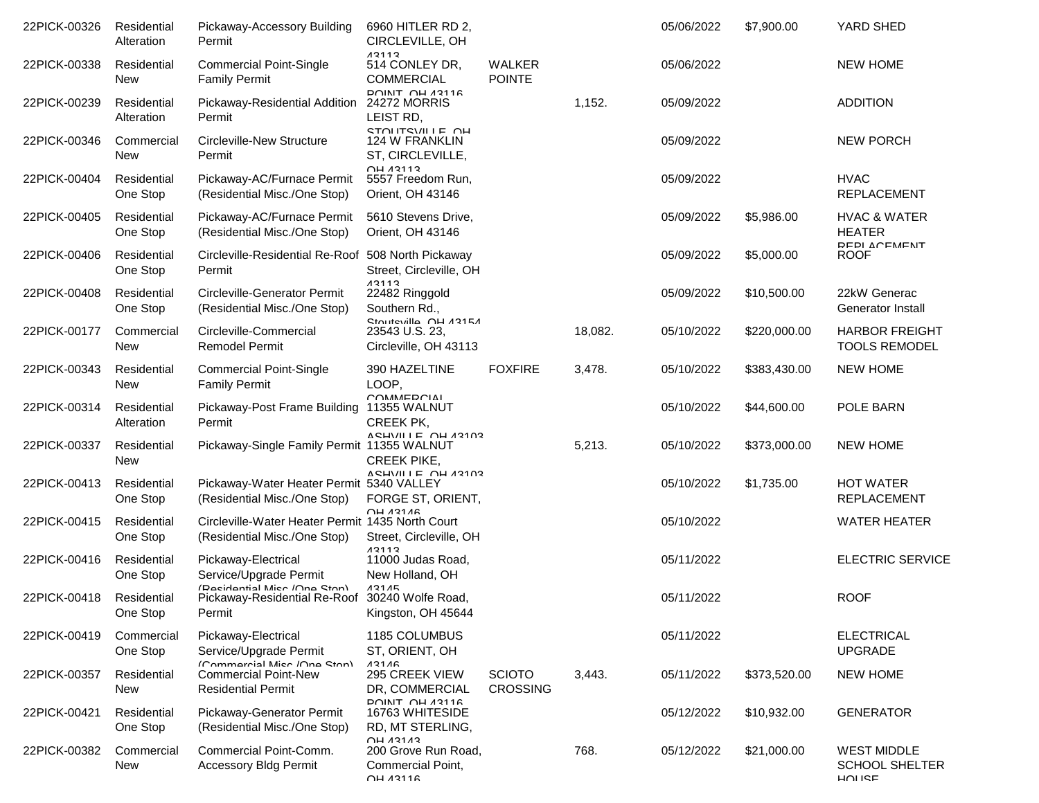| 22PICK-00326 | Residential<br>Alteration | Pickaway-Accessory Building<br>Permit                                            | 6960 HITLER RD 2,<br>CIRCLEVILLE, OH                                                                  |                                  |         | 05/06/2022 | \$7,900.00   | YARD SHED                                                   |
|--------------|---------------------------|----------------------------------------------------------------------------------|-------------------------------------------------------------------------------------------------------|----------------------------------|---------|------------|--------------|-------------------------------------------------------------|
| 22PICK-00338 | Residential<br>New        | <b>Commercial Point-Single</b><br><b>Family Permit</b>                           | 12112<br>514 CONLEY DR,<br><b>COMMERCIAL</b>                                                          | <b>WALKER</b><br><b>POINTE</b>   |         | 05/06/2022 |              | <b>NEW HOME</b>                                             |
| 22PICK-00239 | Residential<br>Alteration | Pickaway-Residential Addition<br>Permit                                          | <b>DOINIT OH 43116</b><br>24272 MORRIS<br>LEIST RD,                                                   |                                  | 1,152.  | 05/09/2022 |              | <b>ADDITION</b>                                             |
| 22PICK-00346 | Commercial<br>New         | Circleville-New Structure<br>Permit                                              | <b>STOLITSVILLE OH</b><br>124 W FRANKLIN<br>ST, CIRCLEVILLE,                                          |                                  |         | 05/09/2022 |              | <b>NEW PORCH</b>                                            |
| 22PICK-00404 | Residential<br>One Stop   | Pickaway-AC/Furnace Permit<br>(Residential Misc./One Stop)                       | <b>OH 13113</b><br>5557 Freedom Run,<br>Orient, OH 43146                                              |                                  |         | 05/09/2022 |              | <b>HVAC</b><br><b>REPLACEMENT</b>                           |
| 22PICK-00405 | Residential<br>One Stop   | Pickaway-AC/Furnace Permit<br>(Residential Misc./One Stop)                       | 5610 Stevens Drive,<br>Orient, OH 43146                                                               |                                  |         | 05/09/2022 | \$5,986.00   | <b>HVAC &amp; WATER</b><br><b>HEATER</b>                    |
| 22PICK-00406 | Residential<br>One Stop   | Circleville-Residential Re-Roof 508 North Pickaway<br>Permit                     | Street, Circleville, OH                                                                               |                                  |         | 05/09/2022 | \$5,000.00   | REDI ACEMENT<br><b>ROOF</b>                                 |
| 22PICK-00408 | Residential<br>One Stop   | <b>Circleville-Generator Permit</b><br>(Residential Misc./One Stop)              | 13113<br>22482 Ringgold<br>Southern Rd.,                                                              |                                  |         | 05/09/2022 | \$10,500.00  | 22kW Generac<br>Generator Install                           |
| 22PICK-00177 | Commercial<br>New         | Circleville-Commercial<br><b>Remodel Permit</b>                                  | <b>Stouteville OH 43154</b><br>23543 U.S. 23,<br>Circleville, OH 43113                                |                                  | 18,082. | 05/10/2022 | \$220,000.00 | <b>HARBOR FREIGHT</b><br><b>TOOLS REMODEL</b>               |
| 22PICK-00343 | Residential<br>New        | <b>Commercial Point-Single</b><br><b>Family Permit</b>                           | 390 HAZELTINE<br>LOOP,                                                                                | <b>FOXFIRE</b>                   | 3,478.  | 05/10/2022 | \$383,430.00 | <b>NEW HOME</b>                                             |
| 22PICK-00314 | Residential<br>Alteration | Pickaway-Post Frame Building 11355 WALNUT<br>Permit                              | COMMEDCIAL<br><b>CREEK PK,</b>                                                                        |                                  |         | 05/10/2022 | \$44,600.00  | POLE BARN                                                   |
| 22PICK-00337 | Residential<br>New        | Pickaway-Single Family Permit 11355 WALNUT                                       | ARHIVILLE OH 43103<br><b>CREEK PIKE,</b>                                                              |                                  | 5,213.  | 05/10/2022 | \$373,000.00 | <b>NEW HOME</b>                                             |
| 22PICK-00413 | Residential<br>One Stop   | Pickaway-Water Heater Permit 5340 VALLEY<br>(Residential Misc./One Stop)         | VGH/III L UH 131U3<br>FORGE ST, ORIENT,                                                               |                                  |         | 05/10/2022 | \$1,735.00   | <b>HOT WATER</b><br><b>REPLACEMENT</b>                      |
| 22PICK-00415 | Residential<br>One Stop   | Circleville-Water Heater Permit 1435 North Court<br>(Residential Misc./One Stop) | $\bigcap H$ 13116<br>Street, Circleville, OH                                                          |                                  |         | 05/10/2022 |              | <b>WATER HEATER</b>                                         |
| 22PICK-00416 | Residential<br>One Stop   | Pickaway-Electrical<br>Service/Upgrade Permit                                    | 12112<br>11000 Judas Road,<br>New Holland, OH                                                         |                                  |         | 05/11/2022 |              | <b>ELECTRIC SERVICE</b>                                     |
| 22PICK-00418 | Residential<br>One Stop   | (Racidantial Micr /Mna Ston)<br>Pickaway-Residential Re-Roof<br>Permit           | 13115<br>30240 Wolfe Road,<br>Kingston, OH 45644                                                      |                                  |         | 05/11/2022 |              | <b>ROOF</b>                                                 |
| 22PICK-00419 | Commercial<br>One Stop    | Pickaway-Electrical<br>Service/Upgrade Permit                                    | 1185 COLUMBUS<br>ST, ORIENT, OH                                                                       |                                  |         | 05/11/2022 |              | <b>ELECTRICAL</b><br><b>UPGRADE</b>                         |
| 22PICK-00357 | Residential<br><b>New</b> | (Commarcial Mice /One Ston)<br>Commercial Point-New<br><b>Residential Permit</b> | 13116<br>295 CREEK VIEW<br>DR, COMMERCIAL                                                             | <b>SCIOTO</b><br><b>CROSSING</b> | 3,443.  | 05/11/2022 | \$373,520.00 | <b>NEW HOME</b>                                             |
| 22PICK-00421 | Residential<br>One Stop   | Pickaway-Generator Permit<br>(Residential Misc./One Stop)                        | <b>POINT OH 43116</b><br>16763 WHITESIDE<br>RD, MT STERLING,                                          |                                  |         | 05/12/2022 | \$10,932.00  | <b>GENERATOR</b>                                            |
| 22PICK-00382 | Commercial<br>New         | Commercial Point-Comm.<br><b>Accessory Bldg Permit</b>                           | $\bigcap H$ $\bigcap A$ 31 $\bigcap A$<br>200 Grove Run Road,<br>Commercial Point,<br><b>OH 13116</b> |                                  | 768.    | 05/12/2022 | \$21,000.00  | <b>WEST MIDDLE</b><br><b>SCHOOL SHELTER</b><br><b>HUISE</b> |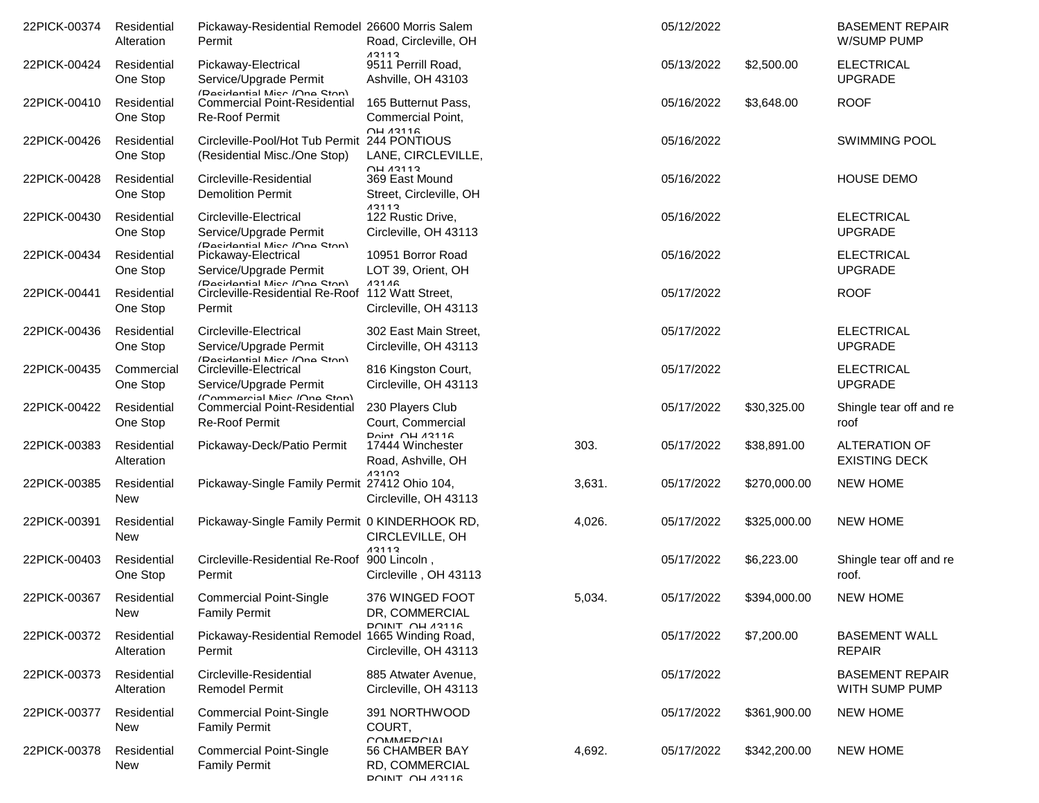| 22PICK-00374 | Residential<br>Alteration | Pickaway-Residential Remodel 26600 Morris Salem<br>Permit                                    | Road, Circleville, OH                                                                         |        | 05/12/2022 |              | <b>BASEMENT REPAIR</b><br>W/SUMP PUMP        |
|--------------|---------------------------|----------------------------------------------------------------------------------------------|-----------------------------------------------------------------------------------------------|--------|------------|--------------|----------------------------------------------|
| 22PICK-00424 | Residential<br>One Stop   | Pickaway-Electrical<br>Service/Upgrade Permit                                                | 13113<br>9511 Perrill Road,<br>Ashville, OH 43103                                             |        | 05/13/2022 | \$2,500.00   | <b>ELECTRICAL</b><br><b>UPGRADE</b>          |
| 22PICK-00410 | Residential<br>One Stop   | (Recidential Micr /One Ston)<br><b>Commercial Point-Residential</b><br><b>Re-Roof Permit</b> | 165 Butternut Pass,<br>Commercial Point,                                                      |        | 05/16/2022 | \$3,648.00   | <b>ROOF</b>                                  |
| 22PICK-00426 | Residential<br>One Stop   | Circleville-Pool/Hot Tub Permit<br>(Residential Misc./One Stop)                              | <b>OH 13116</b><br>244 PONTIOUS<br>LANE, CIRCLEVILLE,                                         |        | 05/16/2022 |              | <b>SWIMMING POOL</b>                         |
| 22PICK-00428 | Residential<br>One Stop   | Circleville-Residential<br><b>Demolition Permit</b>                                          | <b>OH 13113</b><br>369 East Mound<br>Street, Circleville, OH                                  |        | 05/16/2022 |              | HOUSE DEMO                                   |
| 22PICK-00430 | Residential<br>One Stop   | Circleville-Electrical<br>Service/Upgrade Permit                                             | 13113<br>122 Rustic Drive,<br>Circleville, OH 43113                                           |        | 05/16/2022 |              | <b>ELECTRICAL</b><br><b>UPGRADE</b>          |
| 22PICK-00434 | Residential<br>One Stop   | (Racidantial Micr /Ona Ston)<br>Pickaway-Electrical<br>Service/Upgrade Permit                | 10951 Borror Road<br>LOT 39, Orient, OH                                                       |        | 05/16/2022 |              | <b>ELECTRICAL</b><br><b>UPGRADE</b>          |
| 22PICK-00441 | Residential<br>One Stop   | (Racidantial Micr /Ona Stan)<br>Circleville-Residential Re-Roof<br>Permit                    | 13116<br>112 Watt Street,<br>Circleville, OH 43113                                            |        | 05/17/2022 |              | <b>ROOF</b>                                  |
| 22PICK-00436 | Residential<br>One Stop   | Circleville-Electrical<br>Service/Upgrade Permit                                             | 302 East Main Street,<br>Circleville, OH 43113                                                |        | 05/17/2022 |              | <b>ELECTRICAL</b><br><b>UPGRADE</b>          |
| 22PICK-00435 | Commercial<br>One Stop    | (Recidential Micr /One Ston)<br>Circleville-Electrical<br>Service/Upgrade Permit             | 816 Kingston Court,<br>Circleville, OH 43113                                                  |        | 05/17/2022 |              | <b>ELECTRICAL</b><br><b>UPGRADE</b>          |
| 22PICK-00422 | Residential<br>One Stop   | (Commercial Mice /One Ston)<br><b>Commercial Point-Residential</b><br><b>Re-Roof Permit</b>  | 230 Players Club<br>Court, Commercial                                                         |        | 05/17/2022 | \$30,325.00  | Shingle tear off and re<br>roof              |
| 22PICK-00383 | Residential<br>Alteration | Pickaway-Deck/Patio Permit                                                                   | Doint OH 13116<br>17444 Winchester<br>Road, Ashville, OH                                      | 303.   | 05/17/2022 | \$38,891.00  | <b>ALTERATION OF</b><br><b>EXISTING DECK</b> |
| 22PICK-00385 | Residential<br>New        | Pickaway-Single Family Permit 27412 Ohio 104,                                                | 12102<br>Circleville, OH 43113                                                                | 3,631. | 05/17/2022 | \$270,000.00 | <b>NEW HOME</b>                              |
| 22PICK-00391 | Residential<br><b>New</b> | Pickaway-Single Family Permit 0 KINDERHOOK RD,                                               | CIRCLEVILLE, OH                                                                               | 4,026. | 05/17/2022 | \$325,000.00 | <b>NEW HOME</b>                              |
| 22PICK-00403 | Residential<br>One Stop   | Circleville-Residential Re-Roof<br>Permit                                                    | 13113<br>900 Lincoln,<br>Circleville, OH 43113                                                |        | 05/17/2022 | \$6,223.00   | Shingle tear off and re<br>roof.             |
| 22PICK-00367 | Residential<br>New        | <b>Commercial Point-Single</b><br><b>Family Permit</b>                                       | 376 WINGED FOOT<br>DR, COMMERCIAL                                                             | 5,034. | 05/17/2022 | \$394,000.00 | <b>NEW HOME</b>                              |
| 22PICK-00372 | Residential<br>Alteration | Pickaway-Residential Remodel 1665 Winding Road,<br>Permit                                    | <b>POINIT OH 43116</b><br>Circleville, OH 43113                                               |        | 05/17/2022 | \$7,200.00   | <b>BASEMENT WALL</b><br><b>REPAIR</b>        |
| 22PICK-00373 | Residential<br>Alteration | Circleville-Residential<br><b>Remodel Permit</b>                                             | 885 Atwater Avenue,<br>Circleville, OH 43113                                                  |        | 05/17/2022 |              | <b>BASEMENT REPAIR</b><br>WITH SUMP PUMP     |
| 22PICK-00377 | Residential<br>New        | <b>Commercial Point-Single</b><br><b>Family Permit</b>                                       | 391 NORTHWOOD<br>COURT,                                                                       |        | 05/17/2022 | \$361,900.00 | <b>NEW HOME</b>                              |
| 22PICK-00378 | Residential<br>New        | <b>Commercial Point-Single</b><br><b>Family Permit</b>                                       | <b>COMMERCIAL</b><br><b>56 CHAMBER BAY</b><br><b>RD. COMMERCIAL</b><br><b>POINIT OH 43116</b> | 4,692. | 05/17/2022 | \$342,200.00 | <b>NEW HOME</b>                              |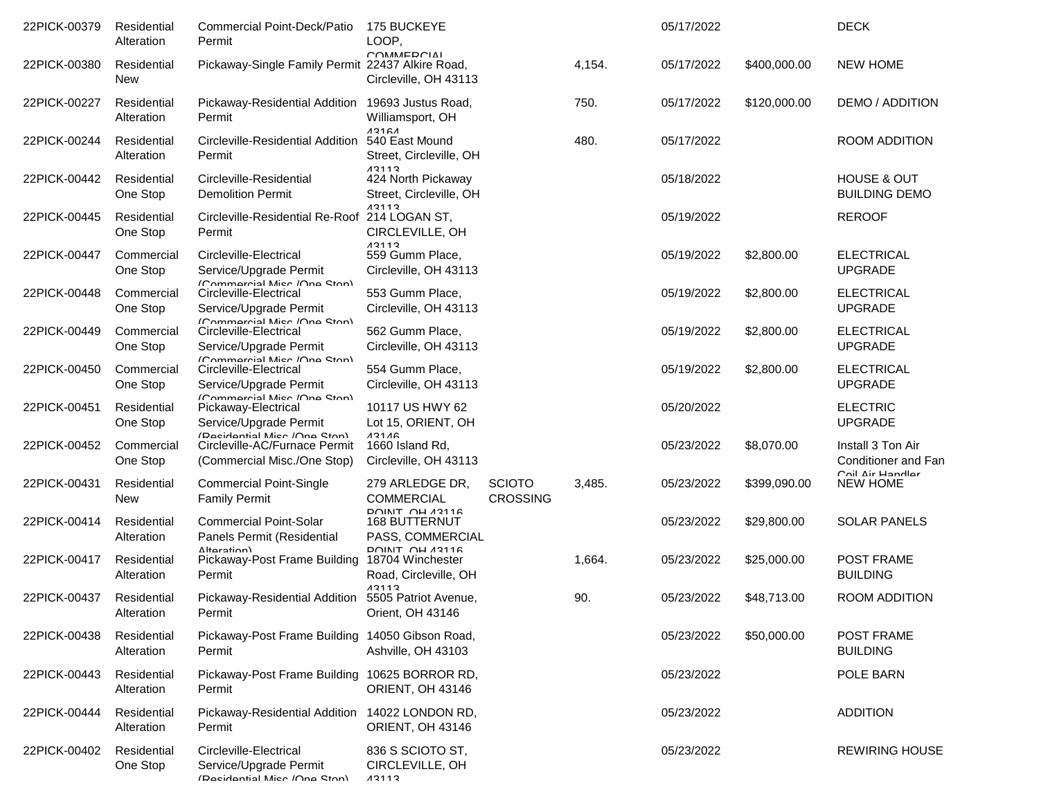| 22PICK-00379 | Residential<br>Alteration | <b>Commercial Point-Deck/Patio</b><br>Permit                                                 | <b>175 BUCKEYE</b><br>LOOP,                                       |                                  |        | 05/17/2022 |              | <b>DECK</b>                                    |
|--------------|---------------------------|----------------------------------------------------------------------------------------------|-------------------------------------------------------------------|----------------------------------|--------|------------|--------------|------------------------------------------------|
| 22PICK-00380 | Residential<br><b>New</b> | Pickaway-Single Family Permit 22437 Alkire Road,                                             | COMMEDCIAL<br>Circleville, OH 43113                               |                                  | 4,154. | 05/17/2022 | \$400,000.00 | <b>NEW HOME</b>                                |
| 22PICK-00227 | Residential<br>Alteration | Pickaway-Residential Addition 19693 Justus Road,<br>Permit                                   | Williamsport, OH                                                  |                                  | 750.   | 05/17/2022 | \$120,000.00 | <b>DEMO / ADDITION</b>                         |
| 22PICK-00244 | Residential<br>Alteration | Circleville-Residential Addition 540 East Mound<br>Permit                                    | 13161<br>Street, Circleville, OH                                  |                                  | 480.   | 05/17/2022 |              | ROOM ADDITION                                  |
| 22PICK-00442 | Residential<br>One Stop   | Circleville-Residential<br><b>Demolition Permit</b>                                          | 13113<br>424 North Pickaway<br>Street, Circleville, OH            |                                  |        | 05/18/2022 |              | <b>HOUSE &amp; OUT</b><br><b>BUILDING DEMO</b> |
| 22PICK-00445 | Residential<br>One Stop   | Circleville-Residential Re-Roof 214 LOGAN ST,<br>Permit                                      | 13113<br>CIRCLEVILLE, OH                                          |                                  |        | 05/19/2022 |              | <b>REROOF</b>                                  |
| 22PICK-00447 | Commercial<br>One Stop    | Circleville-Electrical<br>Service/Upgrade Permit                                             | 13113<br>559 Gumm Place,<br>Circleville, OH 43113                 |                                  |        | 05/19/2022 | \$2,800.00   | <b>ELECTRICAL</b><br><b>UPGRADE</b>            |
| 22PICK-00448 | Commercial<br>One Stop    | ICommarcial Micc /Ona Ston)<br>Circleville-Electrical<br>Service/Upgrade Permit              | 553 Gumm Place,<br>Circleville, OH 43113                          |                                  |        | 05/19/2022 | \$2,800.00   | <b>ELECTRICAL</b><br><b>UPGRADE</b>            |
| 22PICK-00449 | Commercial<br>One Stop    | (Commarcial Miec /Ona Ston)<br>Circleville-Electrical<br>Service/Upgrade Permit              | 562 Gumm Place,<br>Circleville, OH 43113                          |                                  |        | 05/19/2022 | \$2,800.00   | <b>ELECTRICAL</b><br><b>UPGRADE</b>            |
| 22PICK-00450 | Commercial<br>One Stop    | ICommarcial Mier /Ona Ston)<br>Circleville-Electrical<br>Service/Upgrade Permit              | 554 Gumm Place,<br>Circleville, OH 43113                          |                                  |        | 05/19/2022 | \$2,800.00   | <b>ELECTRICAL</b><br><b>UPGRADE</b>            |
| 22PICK-00451 | Residential<br>One Stop   | ICommorcial Mice /One Ston)<br>Pickaway-Electrical<br>Service/Upgrade Permit                 | 10117 US HWY 62<br>Lot 15, ORIENT, OH                             |                                  |        | 05/20/2022 |              | <b>ELECTRIC</b><br><b>UPGRADE</b>              |
| 22PICK-00452 | Commercial<br>One Stop    | (Racidantial Micr /Ona Ston)<br>Circleville-AC/Furnace Permit<br>(Commercial Misc./One Stop) | 13116<br>1660 Island Rd,<br>Circleville, OH 43113                 |                                  |        | 05/23/2022 | \$8,070.00   | Install 3 Ton Air<br>Conditioner and Fan       |
| 22PICK-00431 | Residential<br><b>New</b> | <b>Commercial Point-Single</b><br><b>Family Permit</b>                                       | 279 ARLEDGE DR,<br><b>COMMERCIAL</b>                              | <b>SCIOTO</b><br><b>CROSSING</b> | 3,485. | 05/23/2022 | \$399,090.00 | Coil Air Handlar<br><b>NEW HOME</b>            |
| 22PICK-00414 | Residential<br>Alteration | <b>Commercial Point-Solar</b><br>Panels Permit (Residential                                  | <b>POINT OH 43116</b><br><b>168 BUTTERNUT</b><br>PASS, COMMERCIAL |                                  |        | 05/23/2022 | \$29,800.00  | <b>SOLAR PANELS</b>                            |
| 22PICK-00417 | Residential<br>Alteration | Altoration)<br>Pickaway-Post Frame Building<br>Permit                                        | DOINIT OH 13116<br>18704 Winchester<br>Road, Circleville, OH      |                                  | 1,664. | 05/23/2022 | \$25,000.00  | POST FRAME<br><b>BUILDING</b>                  |
| 22PICK-00437 | Residential<br>Alteration | Pickaway-Residential Addition 5505 Patriot Avenue,<br>Permit                                 | 13113<br>Orient, OH 43146                                         |                                  | 90.    | 05/23/2022 | \$48,713,00  | <b>ROOM ADDITION</b>                           |
| 22PICK-00438 | Residential<br>Alteration | Pickaway-Post Frame Building 14050 Gibson Road,<br>Permit                                    | Ashville, OH 43103                                                |                                  |        | 05/23/2022 | \$50,000.00  | POST FRAME<br><b>BUILDING</b>                  |
| 22PICK-00443 | Residential<br>Alteration | Pickaway-Post Frame Building 10625 BORROR RD,<br>Permit                                      | ORIENT, OH 43146                                                  |                                  |        | 05/23/2022 |              | POLE BARN                                      |
| 22PICK-00444 | Residential<br>Alteration | Pickaway-Residential Addition 14022 LONDON RD,<br>Permit                                     | ORIENT, OH 43146                                                  |                                  |        | 05/23/2022 |              | <b>ADDITION</b>                                |
| 22PICK-00402 | Residential<br>One Stop   | Circleville-Electrical<br>Service/Upgrade Permit<br>(Racidantial Micr /Ona Ston)             | 836 S SCIOTO ST,<br>CIRCLEVILLE, OH<br>13113                      |                                  |        | 05/23/2022 |              | <b>REWIRING HOUSE</b>                          |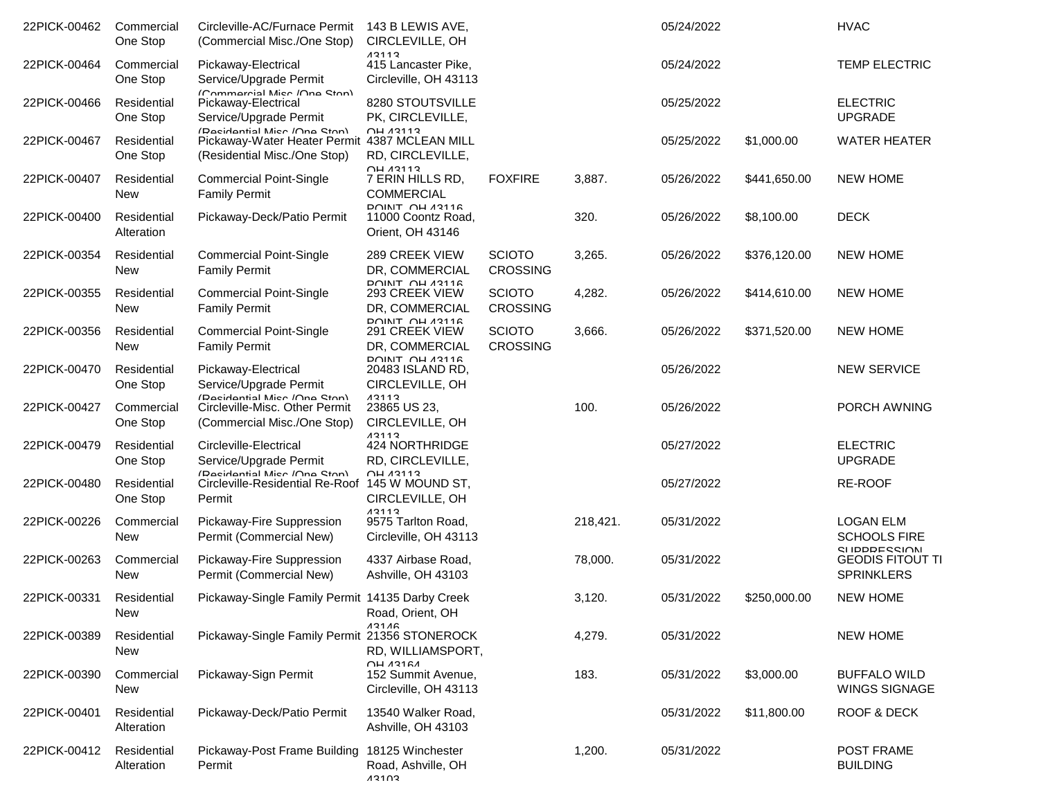| 22PICK-00462 | Commercial<br>One Stop    | Circleville-AC/Furnace Permit<br>(Commercial Misc./One Stop)                                                  | 143 B LEWIS AVE,<br>CIRCLEVILLE, OH                                                                                                                                                                                                                                                                                                                                                                            |                                  |          | 05/24/2022 |              | <b>HVAC</b>                                                       |
|--------------|---------------------------|---------------------------------------------------------------------------------------------------------------|----------------------------------------------------------------------------------------------------------------------------------------------------------------------------------------------------------------------------------------------------------------------------------------------------------------------------------------------------------------------------------------------------------------|----------------------------------|----------|------------|--------------|-------------------------------------------------------------------|
| 22PICK-00464 | Commercial<br>One Stop    | Pickaway-Electrical<br>Service/Upgrade Permit                                                                 | 12112<br>415 Lancaster Pike,<br>Circleville, OH 43113                                                                                                                                                                                                                                                                                                                                                          |                                  |          | 05/24/2022 |              | <b>TEMP ELECTRIC</b>                                              |
| 22PICK-00466 | Residential<br>One Stop   | (Commarcial Micc /Ona Ston)<br>Pickaway-Electrical<br>Service/Upgrade Permit                                  | 8280 STOUTSVILLE<br>PK, CIRCLEVILLE,                                                                                                                                                                                                                                                                                                                                                                           |                                  |          | 05/25/2022 |              | <b>ELECTRIC</b><br><b>UPGRADE</b>                                 |
| 22PICK-00467 | Residential<br>One Stop   | (Racidantial Micr /Ona Ston)<br>Pickaway-Water Heater Permit 4387 MCLEAN MILL<br>(Residential Misc./One Stop) | <b>OH 13113</b><br>RD, CIRCLEVILLE,                                                                                                                                                                                                                                                                                                                                                                            |                                  |          | 05/25/2022 | \$1,000.00   | <b>WATER HEATER</b>                                               |
| 22PICK-00407 | Residential<br><b>New</b> | <b>Commercial Point-Single</b><br><b>Family Permit</b>                                                        | <b>OH 13113</b><br>7 ERIN HILLS RD,<br><b>COMMERCIAL</b>                                                                                                                                                                                                                                                                                                                                                       | <b>FOXFIRE</b>                   | 3,887.   | 05/26/2022 | \$441,650.00 | <b>NEW HOME</b>                                                   |
| 22PICK-00400 | Residential<br>Alteration | Pickaway-Deck/Patio Permit                                                                                    | <b>POINIT OH 43116</b><br>11000 Coontz Road,<br>Orient, OH 43146                                                                                                                                                                                                                                                                                                                                               |                                  | 320.     | 05/26/2022 | \$8,100.00   | <b>DECK</b>                                                       |
| 22PICK-00354 | Residential<br><b>New</b> | <b>Commercial Point-Single</b><br><b>Family Permit</b>                                                        | 289 CREEK VIEW<br>DR, COMMERCIAL                                                                                                                                                                                                                                                                                                                                                                               | <b>SCIOTO</b><br><b>CROSSING</b> | 3,265.   | 05/26/2022 | \$376,120.00 | <b>NEW HOME</b>                                                   |
| 22PICK-00355 | Residential<br><b>New</b> | <b>Commercial Point-Single</b><br><b>Family Permit</b>                                                        | <b>POINT OH 43116</b><br>293 CREEK VIEW<br>DR, COMMERCIAL                                                                                                                                                                                                                                                                                                                                                      | <b>SCIOTO</b><br><b>CROSSING</b> | 4,282.   | 05/26/2022 | \$414,610.00 | <b>NEW HOME</b>                                                   |
| 22PICK-00356 | Residential<br>New        | <b>Commercial Point-Single</b><br><b>Family Permit</b>                                                        | <b>POINT OH 43116</b><br>291 CREEK VIEW<br>DR, COMMERCIAL                                                                                                                                                                                                                                                                                                                                                      | <b>SCIOTO</b><br><b>CROSSING</b> | 3,666.   | 05/26/2022 | \$371,520.00 | <b>NEW HOME</b>                                                   |
| 22PICK-00470 | Residential<br>One Stop   | Pickaway-Electrical<br>Service/Upgrade Permit                                                                 | <b>DOINT OH 43116</b><br>20483 ISLAND RD,<br>CIRCLEVILLE, OH                                                                                                                                                                                                                                                                                                                                                   |                                  |          | 05/26/2022 |              | <b>NEW SERVICE</b>                                                |
| 22PICK-00427 | Commercial<br>One Stop    | (Dacidantial Mice /One Stan)<br>Circleville-Misc. Other Permit<br>(Commercial Misc./One Stop)                 | 12112<br>23865 US 23,<br>CIRCLEVILLE, OH                                                                                                                                                                                                                                                                                                                                                                       |                                  | 100.     | 05/26/2022 |              | PORCH AWNING                                                      |
| 22PICK-00479 | Residential<br>One Stop   | Circleville-Electrical<br>Service/Upgrade Permit                                                              | 13113<br>424 NORTHRIDGE<br>RD, CIRCLEVILLE,                                                                                                                                                                                                                                                                                                                                                                    |                                  |          | 05/27/2022 |              | <b>ELECTRIC</b><br><b>UPGRADE</b>                                 |
| 22PICK-00480 | Residential<br>One Stop   | (Decidential Mice /One Stan)<br>Circleville-Residential Re-Roof 145 W MOUND ST,<br>Permit                     | $\bigcap$ $\bigcup$ $\bigwedge$ $\bigwedge$ $\bigwedge$ $\bigwedge$ $\bigwedge$ $\bigwedge$ $\bigwedge$ $\bigwedge$ $\bigwedge$ $\bigwedge$ $\bigwedge$ $\bigwedge$ $\bigwedge$ $\bigwedge$ $\bigwedge$ $\bigwedge$ $\bigwedge$ $\bigwedge$ $\bigwedge$ $\bigwedge$ $\bigwedge$ $\bigwedge$ $\bigwedge$ $\bigwedge$ $\bigwedge$ $\bigwedge$ $\bigwedge$ $\bigwedge$ $\bigwedge$ $\bigwedge$<br>CIRCLEVILLE, OH |                                  |          | 05/27/2022 |              | RE-ROOF                                                           |
| 22PICK-00226 | Commercial<br><b>New</b>  | Pickaway-Fire Suppression<br>Permit (Commercial New)                                                          | 13113<br>9575 Tarlton Road,<br>Circleville, OH 43113                                                                                                                                                                                                                                                                                                                                                           |                                  | 218,421. | 05/31/2022 |              | <b>LOGAN ELM</b><br><b>SCHOOLS FIRE</b><br><b>CI IDDDE CCIONI</b> |
| 22PICK-00263 | Commercial<br><b>New</b>  | Pickaway-Fire Suppression<br>Permit (Commercial New)                                                          | 4337 Airbase Road,<br>Ashville, OH 43103                                                                                                                                                                                                                                                                                                                                                                       |                                  | 78,000.  | 05/31/2022 |              | <b>GEODIS FITOUT TI</b><br><b>SPRINKLERS</b>                      |
| 22PICK-00331 | Residential<br>New        | Pickaway-Single Family Permit 14135 Darby Creek                                                               | Road, Orient, OH                                                                                                                                                                                                                                                                                                                                                                                               |                                  | 3,120.   | 05/31/2022 | \$250,000.00 | <b>NEW HOME</b>                                                   |
| 22PICK-00389 | Residential<br>New        | Pickaway-Single Family Permit 21356 STONEROCK                                                                 | 13116<br>RD, WILLIAMSPORT,                                                                                                                                                                                                                                                                                                                                                                                     |                                  | 4,279.   | 05/31/2022 |              | <b>NEW HOME</b>                                                   |
| 22PICK-00390 | Commercial<br>New         | Pickaway-Sign Permit                                                                                          | $\bigcap H$ $A$ 316 $A$<br>152 Summit Avenue,<br>Circleville, OH 43113                                                                                                                                                                                                                                                                                                                                         |                                  | 183.     | 05/31/2022 | \$3,000.00   | <b>BUFFALO WILD</b><br><b>WINGS SIGNAGE</b>                       |
| 22PICK-00401 | Residential<br>Alteration | Pickaway-Deck/Patio Permit                                                                                    | 13540 Walker Road,<br>Ashville, OH 43103                                                                                                                                                                                                                                                                                                                                                                       |                                  |          | 05/31/2022 | \$11,800.00  | ROOF & DECK                                                       |
| 22PICK-00412 | Residential<br>Alteration | Pickaway-Post Frame Building<br>Permit                                                                        | 18125 Winchester<br>Road, Ashville, OH<br>13103                                                                                                                                                                                                                                                                                                                                                                |                                  | 1,200.   | 05/31/2022 |              | POST FRAME<br><b>BUILDING</b>                                     |